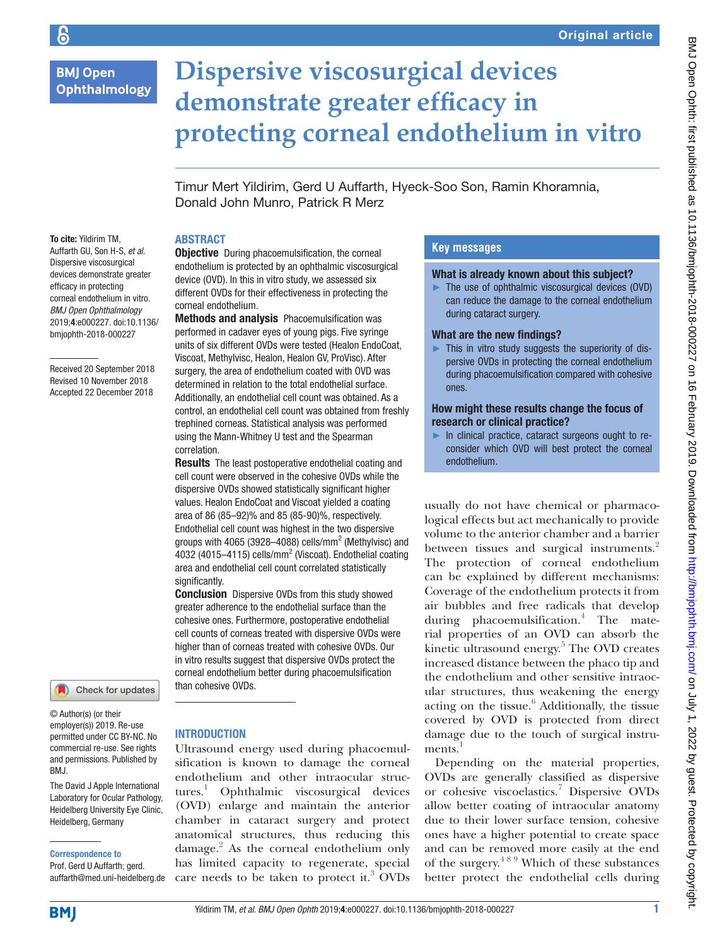# **BMJ Open** Ophthalmology

# **Dispersive viscosurgical devices demonstrate greater efficacy in protecting corneal endothelium in vitro**

Timur Mert Yildirim, Gerd U Auffarth, Hyeck-Soo Son, Ramin Khoramnia, Donald John Munro, Patrick R Merz

# **ABSTRACT**

correlation.

significantly.

corneal endothelium.

**Objective** During phacoemulsification, the corneal endothelium is protected by an ophthalmic viscosurgical device (OVD). In this in vitro study, we assessed six different OVDs for their effectiveness in protecting the

Methods and analysis Phacoemulsification was performed in cadaver eyes of young pigs. Five syringe units of six different OVDs were tested (Healon EndoCoat, Viscoat, Methylvisc, Healon, Healon GV, ProVisc). After surgery, the area of endothelium coated with OVD was determined in relation to the total endothelial surface. Additionally, an endothelial cell count was obtained. As a control, an endothelial cell count was obtained from freshly trephined corneas. Statistical analysis was performed using the Mann-Whitney U test and the Spearman

**Results** The least postoperative endothelial coating and cell count were observed in the cohesive OVDs while the dispersive OVDs showed statistically significant higher values. Healon EndoCoat and Viscoat yielded a coating area of 86 (85–92)% and 85 (85-90)%, respectively. Endothelial cell count was highest in the two dispersive groups with 4065 (3928–4088) cells/mm<sup>2</sup> (Methylvisc) and 4032 (4015-4115) cells/mm<sup>2</sup> (Viscoat). Endothelial coating area and endothelial cell count correlated statistically

**Conclusion** Dispersive OVDs from this study showed greater adherence to the endothelial surface than the cohesive ones. Furthermore, postoperative endothelial cell counts of corneas treated with dispersive OVDs were higher than of corneas treated with cohesive OVDs. Our in vitro results suggest that dispersive OVDs protect the corneal endothelium better during phacoemulsification

To cite: Yildirim TM, Auffarth GU, Son H-S, *et al*. Dispersive viscosurgical devices demonstrate greater efficacy in protecting corneal endothelium in vitro. *BMJ Open Ophthalmology* 2019;4:e000227. doi:10.1136/ bmjophth-2018-000227

Received 20 September 2018 Revised 10 November 2018 Accepted 22 December 2018

# Check for updates

© Author(s) (or their employer(s)) 2019. Re-use permitted under CC BY-NC. No commercial re-use. See rights and permissions. Published by BMJ.

The David J Apple International Laboratory for Ocular Pathology, Heidelberg University Eye Clinic, Heidelberg, Germany

#### Correspondence to

Prof. Gerd U Auffarth; gerd. auffarth@med.uni-heidelberg.de

#### **INTRODUCTION**

than cohesive OVDs.

Ultrasound energy used during phacoemulsification is known to damage the corneal endothelium and other intraocular structures.<sup>1</sup> Ophthalmic viscosurgical devices (OVD) enlarge and maintain the anterior chamber in cataract surgery and protect anatomical structures, thus reducing this damage.<sup>2</sup> As the corneal endothelium only has limited capacity to regenerate, special care needs to be taken to protect it.<sup>3</sup> OVDs

# **Key messages**

#### What is already known about this subject?

 $\blacktriangleright$  The use of ophthalmic viscosurgical devices (OVD) can reduce the damage to the corneal endothelium during cataract surgery.

#### What are the new findings?

► This in vitro study suggests the superiority of dispersive OVDs in protecting the corneal endothelium during phacoemulsification compared with cohesive ones.

#### How might these results change the focus of research or clinical practice?

► In clinical practice, cataract surgeons ought to reconsider which OVD will best protect the corneal endothelium.

usually do not have chemical or pharmacological effects but act mechanically to provide volume to the anterior chamber and a barrier between tissues and surgical instruments.<sup>[2](#page-5-0)</sup> The protection of corneal endothelium can be explained by different mechanisms: Coverage of the endothelium protects it from air bubbles and free radicals that develop during phacoemulsification.<sup>4</sup> The material properties of an OVD can absorb the kinetic ultrasound energy.<sup>[5](#page-5-2)</sup> The OVD creates increased distance between the phaco tip and the endothelium and other sensitive intraocular structures, thus weakening the energy acting on the tissue.<sup>[6](#page-5-3)</sup> Additionally, the tissue covered by OVD is protected from direct damage due to the touch of surgical instruments.

Depending on the material properties, OVDs are generally classified as dispersive or cohesive viscoelastics.<sup>[7](#page-5-5)</sup> Dispersive OVDs allow better coating of intraocular anatomy due to their lower surface tension, cohesive ones have a higher potential to create space and can be removed more easily at the end of the surgery.[4 8 9](#page-5-1) Which of these substances better protect the endothelial cells during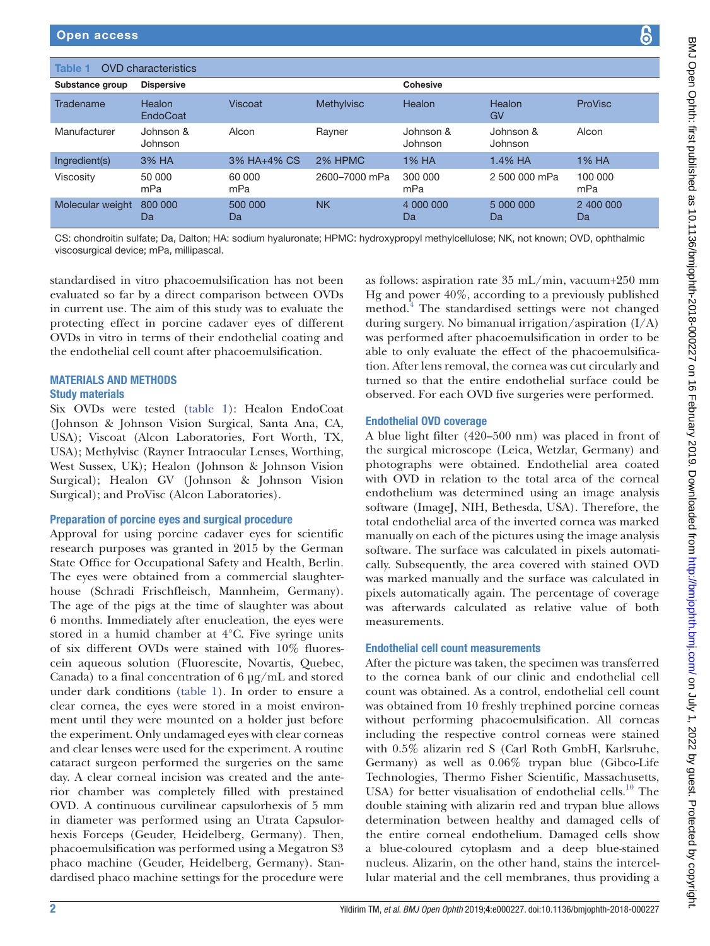<span id="page-1-0"></span>

| <b>OVD</b> characteristics<br>Table 1 |                      |                |                   |                      |                      |                 |  |  |
|---------------------------------------|----------------------|----------------|-------------------|----------------------|----------------------|-----------------|--|--|
| Substance group                       | <b>Dispersive</b>    |                |                   | <b>Cohesive</b>      |                      |                 |  |  |
| Tradename                             | Healon<br>EndoCoat   | <b>Viscoat</b> | <b>Methylvisc</b> | Healon               | Healon<br>GV         | ProVisc         |  |  |
| Manufacturer                          | Johnson &<br>Johnson | Alcon          | Rayner            | Johnson &<br>Johnson | Johnson &<br>Johnson | Alcon           |  |  |
| Ingredient(s)                         | 3% HA                | 3% HA+4% CS    | 2% HPMC           | 1% HA                | 1.4% HA              | 1% HA           |  |  |
| Viscosity                             | 50 000<br>mPa        | 60 000<br>mPa  | 2600-7000 mPa     | 300 000<br>mPa       | 2 500 000 mPa        | 100 000<br>mPa  |  |  |
| Molecular weight                      | 800 000<br>Da        | 500 000<br>Da  | <b>NK</b>         | 4 000 000<br>Da      | 5 000 000<br>Da      | 2 400 000<br>Da |  |  |

CS: chondroitin sulfate; Da, Dalton; HA: sodium hyaluronate; HPMC: hydroxypropyl methylcellulose; NK, not known; OVD, ophthalmic viscosurgical device; mPa, millipascal.

standardised in vitro phacoemulsification has not been evaluated so far by a direct comparison between OVDs in current use. The aim of this study was to evaluate the protecting effect in porcine cadaver eyes of different OVDs in vitro in terms of their endothelial coating and the endothelial cell count after phacoemulsification.

# Materials and methods

#### Study materials

Six OVDs were tested [\(table](#page-1-0) 1): Healon EndoCoat (Johnson & Johnson Vision Surgical, Santa Ana, CA, USA); Viscoat (Alcon Laboratories, Fort Worth, TX, USA); Methylvisc (Rayner Intraocular Lenses, Worthing, West Sussex, UK); Healon (Johnson & Johnson Vision Surgical); Healon GV (Johnson & Johnson Vision Surgical); and ProVisc (Alcon Laboratories).

# Preparation of porcine eyes and surgical procedure

Approval for using porcine cadaver eyes for scientific research purposes was granted in 2015 by the German State Office for Occupational Safety and Health, Berlin. The eyes were obtained from a commercial slaughterhouse (Schradi Frischfleisch, Mannheim, Germany). The age of the pigs at the time of slaughter was about 6 months. Immediately after enucleation, the eyes were stored in a humid chamber at 4°C. Five syringe units of six different OVDs were stained with 10% fluorescein aqueous solution (Fluorescite, Novartis, Quebec, Canada) to a final concentration of  $6 \mu g/mL$  and stored under dark conditions ([table](#page-1-0) 1). In order to ensure a clear cornea, the eyes were stored in a moist environment until they were mounted on a holder just before the experiment. Only undamaged eyes with clear corneas and clear lenses were used for the experiment. A routine cataract surgeon performed the surgeries on the same day. A clear corneal incision was created and the anterior chamber was completely filled with prestained OVD. A continuous curvilinear capsulorhexis of 5 mm in diameter was performed using an Utrata Capsulorhexis Forceps (Geuder, Heidelberg, Germany). Then, phacoemulsification was performed using a Megatron S3 phaco machine (Geuder, Heidelberg, Germany). Standardised phaco machine settings for the procedure were

as follows: aspiration rate 35 mL/min, vacuum+250 mm Hg and power 40%, according to a previously published method.<sup>[4](#page-5-1)</sup> The standardised settings were not changed during surgery. No bimanual irrigation/aspiration (I/A) was performed after phacoemulsification in order to be able to only evaluate the effect of the phacoemulsification. After lens removal, the cornea was cut circularly and turned so that the entire endothelial surface could be observed. For each OVD five surgeries were performed.

# Endothelial OVD coverage

A blue light filter (420–500 nm) was placed in front of the surgical microscope (Leica, Wetzlar, Germany) and photographs were obtained. Endothelial area coated with OVD in relation to the total area of the corneal endothelium was determined using an image analysis software (ImageJ, NIH, Bethesda, USA). Therefore, the total endothelial area of the inverted cornea was marked manually on each of the pictures using the image analysis software. The surface was calculated in pixels automatically. Subsequently, the area covered with stained OVD was marked manually and the surface was calculated in pixels automatically again. The percentage of coverage was afterwards calculated as relative value of both measurements.

# Endothelial cell count measurements

After the picture was taken, the specimen was transferred to the cornea bank of our clinic and endothelial cell count was obtained. As a control, endothelial cell count was obtained from 10 freshly trephined porcine corneas without performing phacoemulsification. All corneas including the respective control corneas were stained with 0.5% alizarin red S (Carl Roth GmbH, Karlsruhe, Germany) as well as 0.06% trypan blue (Gibco-Life Technologies, Thermo Fisher Scientific, Massachusetts, USA) for better visualisation of endothelial cells.<sup>10</sup> The double staining with alizarin red and trypan blue allows determination between healthy and damaged cells of the entire corneal endothelium. Damaged cells show a blue-coloured cytoplasm and a deep blue-stained nucleus. Alizarin, on the other hand, stains the intercellular material and the cell membranes, thus providing a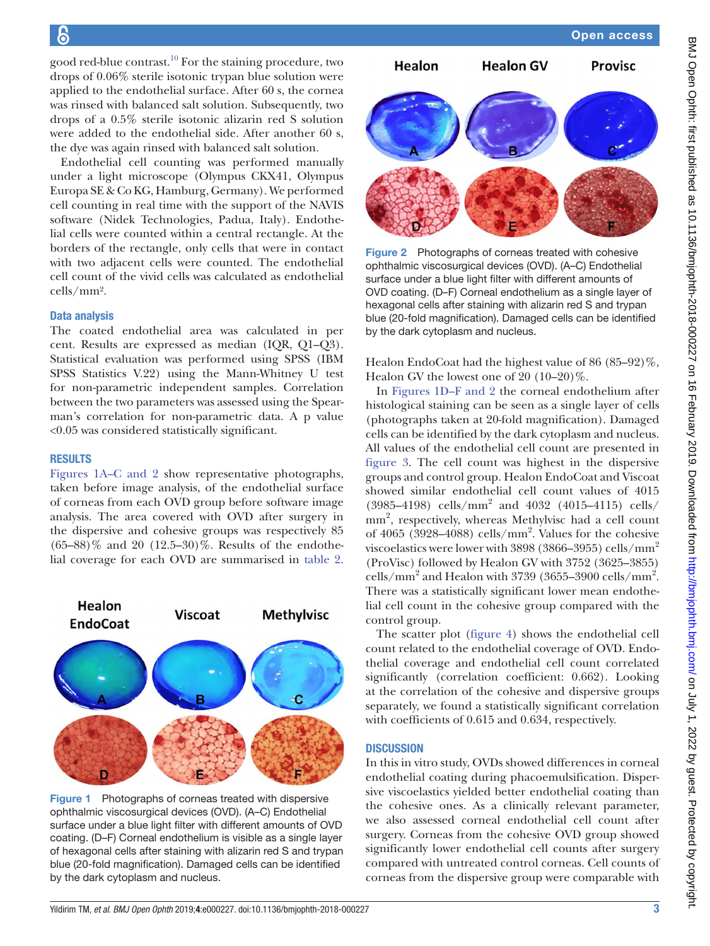good red-blue contrast. $10$  For the staining procedure, two drops of 0.06% sterile isotonic trypan blue solution were applied to the endothelial surface. After 60 s, the cornea was rinsed with balanced salt solution. Subsequently, two drops of a 0.5% sterile isotonic alizarin red S solution were added to the endothelial side. After another 60 s, the dye was again rinsed with balanced salt solution.

Endothelial cell counting was performed manually under a light microscope (Olympus CKX41, Olympus Europa SE & Co KG, Hamburg, Germany). We performed cell counting in real time with the support of the NAVIS software (Nidek Technologies, Padua, Italy). Endothelial cells were counted within a central rectangle. At the borders of the rectangle, only cells that were in contact with two adjacent cells were counted. The endothelial cell count of the vivid cells was calculated as endothelial cells/mm².

# Data analysis

The coated endothelial area was calculated in per cent. Results are expressed as median (IQR, Q1–Q3). Statistical evaluation was performed using SPSS (IBM SPSS Statistics V.22) using the Mann-Whitney U test for non-parametric independent samples. Correlation between the two parameters was assessed using the Spearman's correlation for non-parametric data. A p value <0.05 was considered statistically significant.

#### **RESULTS**

Figures [1A–C and 2](#page-2-0) show representative photographs, taken before image analysis, of the endothelial surface of corneas from each OVD group before software image analysis. The area covered with OVD after surgery in the dispersive and cohesive groups was respectively 85  $(65–88)\%$  and 20  $(12.5–30)\%$ . Results of the endothelial coverage for each OVD are summarised in [table](#page-3-0) 2.



<span id="page-2-0"></span>Figure 1 Photographs of corneas treated with dispersive ophthalmic viscosurgical devices (OVD). (A–C) Endothelial surface under a blue light filter with different amounts of OVD coating. (D–F) Corneal endothelium is visible as a single layer of hexagonal cells after staining with alizarin red S and trypan blue (20-fold magnification). Damaged cells can be identified by the dark cytoplasm and nucleus.



Figure 2 Photographs of corneas treated with cohesive ophthalmic viscosurgical devices (OVD). (A–C) Endothelial surface under a blue light filter with different amounts of OVD coating. (D*–*F) Corneal endothelium as a single layer of hexagonal cells after staining with alizarin red S and trypan blue (20-fold magnification). Damaged cells can be identified by the dark cytoplasm and nucleus.

Healon EndoCoat had the highest value of 86 (85–92)%, Healon GV the lowest one of 20 (10–20)%.

In Figures [1D–F and 2](#page-2-0) the corneal endothelium after histological staining can be seen as a single layer of cells (photographs taken at 20-fold magnification). Damaged cells can be identified by the dark cytoplasm and nucleus. All values of the endothelial cell count are presented in [figure](#page-3-1) 3. The cell count was highest in the dispersive groups and control group. Healon EndoCoat and Viscoat showed similar endothelial cell count values of 4015 (3985–4198) cells/mm2 and 4032 (4015–4115) cells/ mm<sup>2</sup>, respectively, whereas Methylvisc had a cell count of 4065 (3928–4088) cells/mm2 . Values for the cohesive viscoelastics were lower with 3898 (3866–3955) cells/mm<sup>2</sup> (ProVisc) followed by Healon GV with 3752 (3625–3855) cells/mm<sup>2</sup> and Healon with 3739 (3655–3900 cells/mm<sup>2</sup>. There was a statistically significant lower mean endothelial cell count in the cohesive group compared with the control group.

The scatter plot ([figure](#page-4-0) 4) shows the endothelial cell count related to the endothelial coverage of OVD. Endothelial coverage and endothelial cell count correlated significantly (correlation coefficient: 0.662). Looking at the correlation of the cohesive and dispersive groups separately, we found a statistically significant correlation with coefficients of 0.615 and 0.634, respectively.

#### **DISCUSSION**

In this in vitro study, OVDs showed differences in corneal endothelial coating during phacoemulsification. Dispersive viscoelastics yielded better endothelial coating than the cohesive ones. As a clinically relevant parameter, we also assessed corneal endothelial cell count after surgery. Corneas from the cohesive OVD group showed significantly lower endothelial cell counts after surgery compared with untreated control corneas. Cell counts of corneas from the dispersive group were comparable with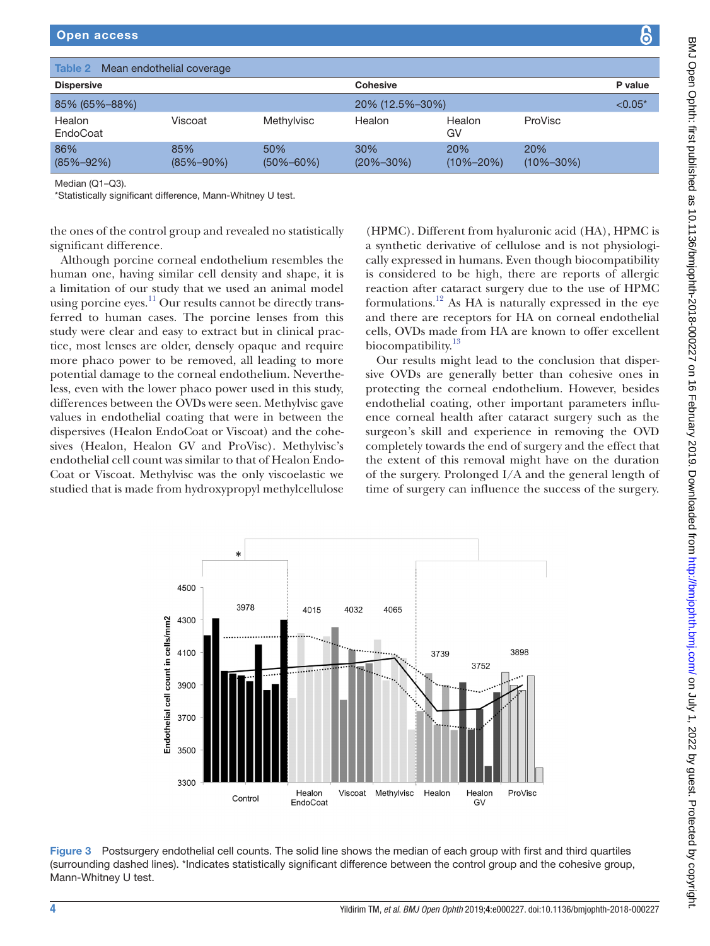<span id="page-3-0"></span>

| <b>Dispersive</b><br>85% (65%-88%) |                        |                        | <b>Cohesive</b><br>20% (12.5%-30%) |                  |                        | P value<br>$< 0.05*$ |
|------------------------------------|------------------------|------------------------|------------------------------------|------------------|------------------------|----------------------|
|                                    |                        |                        |                                    |                  |                        |                      |
| 86%<br>$(85\% - 92\%)$             | 85%<br>$(85\% - 90\%)$ | 50%<br>$(50\% - 60\%)$ | 30%<br>$(20\% - 30\%)$             | 20%<br>(10%–20%) | 20%<br>$(10\% - 30\%)$ |                      |

the ones of the control group and revealed no statistically significant difference.

Although porcine corneal endothelium resembles the human one, having similar cell density and shape, it is a limitation of our study that we used an animal model using porcine eyes.<sup>11</sup> Our results cannot be directly transferred to human cases. The porcine lenses from this study were clear and easy to extract but in clinical practice, most lenses are older, densely opaque and require more phaco power to be removed, all leading to more potential damage to the corneal endothelium. Nevertheless, even with the lower phaco power used in this study, differences between the OVDs were seen. Methylvisc gave values in endothelial coating that were in between the dispersives (Healon EndoCoat or Viscoat) and the cohesives (Healon, Healon GV and ProVisc). Methylvisc's endothelial cell count was similar to that of Healon Endo-Coat or Viscoat. Methylvisc was the only viscoelastic we studied that is made from hydroxypropyl methylcellulose

(HPMC). Different from hyaluronic acid (HA), HPMC is a synthetic derivative of cellulose and is not physiologically expressed in humans. Even though biocompatibility is considered to be high, there are reports of allergic reaction after cataract surgery due to the use of HPMC formulations.<sup>12</sup> As HA is naturally expressed in the eye and there are receptors for HA on corneal endothelial cells, OVDs made from HA are known to offer excellent biocompatibility.<sup>[13](#page-5-9)</sup>

Our results might lead to the conclusion that dispersive OVDs are generally better than cohesive ones in protecting the corneal endothelium. However, besides endothelial coating, other important parameters influence corneal health after cataract surgery such as the surgeon's skill and experience in removing the OVD completely towards the end of surgery and the effect that the extent of this removal might have on the duration of the surgery. Prolonged I/A and the general length of time of surgery can influence the success of the surgery.



<span id="page-3-1"></span>Figure 3 Postsurgery endothelial cell counts. The solid line shows the median of each group with first and third quartiles (surrounding dashed lines). \*Indicates statistically significant difference between the control group and the cohesive group, Mann-Whitney U test.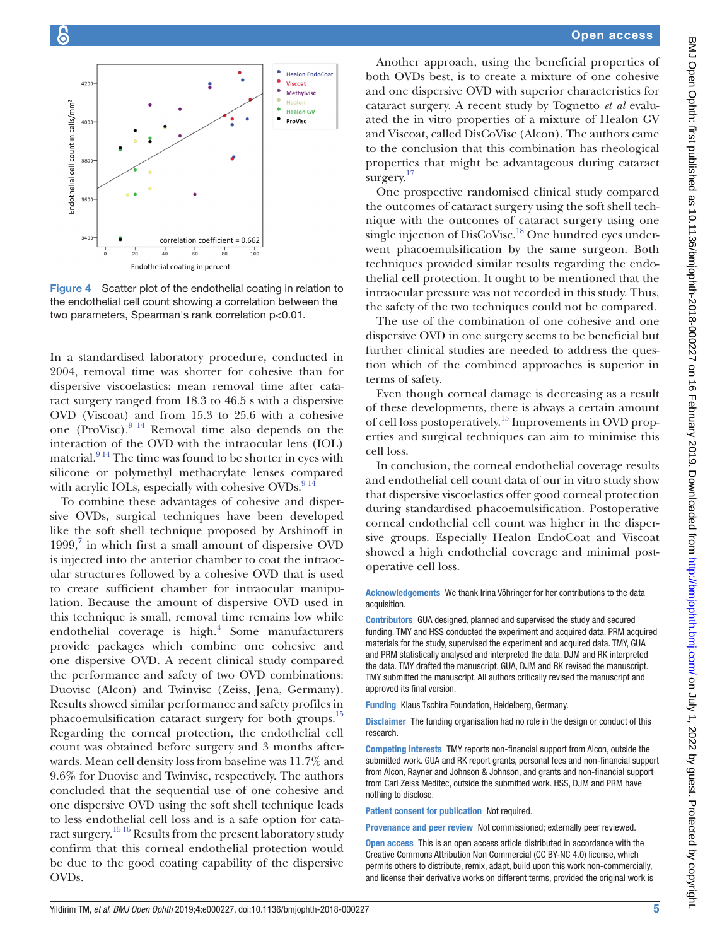

<span id="page-4-0"></span>Figure 4 Scatter plot of the endothelial coating in relation to the endothelial cell count showing a correlation between the two parameters, Spearman's rank correlation p<0.01.

In a standardised laboratory procedure, conducted in 2004, removal time was shorter for cohesive than for dispersive viscoelastics: mean removal time after cataract surgery ranged from 18.3 to 46.5 s with a dispersive OVD (Viscoat) and from 15.3 to 25.6 with a cohesive one (ProVisc). $9^{14}$  Removal time also depends on the interaction of the OVD with the intraocular lens (IOL) material. $914$  The time was found to be shorter in eyes with silicone or polymethyl methacrylate lenses compared with acrylic IOLs, especially with cohesive OVDs. $914$ 

To combine these advantages of cohesive and dispersive OVDs, surgical techniques have been developed like the soft shell technique proposed by Arshinoff in  $1999, 7$  in which first a small amount of dispersive OVD is injected into the anterior chamber to coat the intraocular structures followed by a cohesive OVD that is used to create sufficient chamber for intraocular manipulation. Because the amount of dispersive OVD used in this technique is small, removal time remains low while endothelial coverage is high. $4$  Some manufacturers provide packages which combine one cohesive and one dispersive OVD. A recent clinical study compared the performance and safety of two OVD combinations: Duovisc (Alcon) and Twinvisc (Zeiss, Jena, Germany). Results showed similar performance and safety profiles in phacoemulsification cataract surgery for both groups.<sup>15</sup> Regarding the corneal protection, the endothelial cell count was obtained before surgery and 3 months afterwards. Mean cell density loss from baseline was 11.7% and 9.6% for Duovisc and Twinvisc, respectively. The authors concluded that the sequential use of one cohesive and one dispersive OVD using the soft shell technique leads to less endothelial cell loss and is a safe option for cataract surgery.[15 16](#page-5-11) Results from the present laboratory study confirm that this corneal endothelial protection would be due to the good coating capability of the dispersive OVDs.

Another approach, using the beneficial properties of both OVDs best, is to create a mixture of one cohesive and one dispersive OVD with superior characteristics for cataract surgery. A recent study by Tognetto *et al* evaluated the in vitro properties of a mixture of Healon GV and Viscoat, called DisCoVisc (Alcon). The authors came to the conclusion that this combination has rheological properties that might be advantageous during cataract surgery.<sup>[17](#page-5-12)</sup>

One prospective randomised clinical study compared the outcomes of cataract surgery using the soft shell technique with the outcomes of cataract surgery using one single injection of DisCoVisc.<sup>18</sup> One hundred eyes underwent phacoemulsification by the same surgeon. Both techniques provided similar results regarding the endothelial cell protection. It ought to be mentioned that the intraocular pressure was not recorded in this study. Thus, the safety of the two techniques could not be compared.

The use of the combination of one cohesive and one dispersive OVD in one surgery seems to be beneficial but further clinical studies are needed to address the question which of the combined approaches is superior in terms of safety.

Even though corneal damage is decreasing as a result of these developments, there is always a certain amount of cell loss postoperatively.[15](#page-5-11) Improvements in OVD properties and surgical techniques can aim to minimise this cell loss.

In conclusion, the corneal endothelial coverage results and endothelial cell count data of our in vitro study show that dispersive viscoelastics offer good corneal protection during standardised phacoemulsification. Postoperative corneal endothelial cell count was higher in the dispersive groups. Especially Healon EndoCoat and Viscoat showed a high endothelial coverage and minimal postoperative cell loss.

Acknowledgements We thank Irina Vöhringer for her contributions to the data acquisition.

Contributors GUA designed, planned and supervised the study and secured funding. TMY and HSS conducted the experiment and acquired data. PRM acquired materials for the study, supervised the experiment and acquired data. TMY, GUA and PRM statistically analysed and interpreted the data. DJM and RK interpreted the data. TMY drafted the manuscript. GUA, DJM and RK revised the manuscript. TMY submitted the manuscript. All authors critically revised the manuscript and approved its final version.

Funding Klaus Tschira Foundation, Heidelberg, Germany.

Disclaimer The funding organisation had no role in the design or conduct of this research.

Competing interests TMY reports non-financial support from Alcon, outside the submitted work. GUA and RK report grants, personal fees and non-financial support from Alcon, Rayner and Johnson & Johnson, and grants and non-financial support from Carl Zeiss Meditec, outside the submitted work. HSS, DJM and PRM have nothing to disclose.

Patient consent for publication Not required.

Provenance and peer review Not commissioned; externally peer reviewed.

Open access This is an open access article distributed in accordance with the Creative Commons Attribution Non Commercial (CC BY-NC 4.0) license, which permits others to distribute, remix, adapt, build upon this work non-commercially, and license their derivative works on different terms, provided the original work is